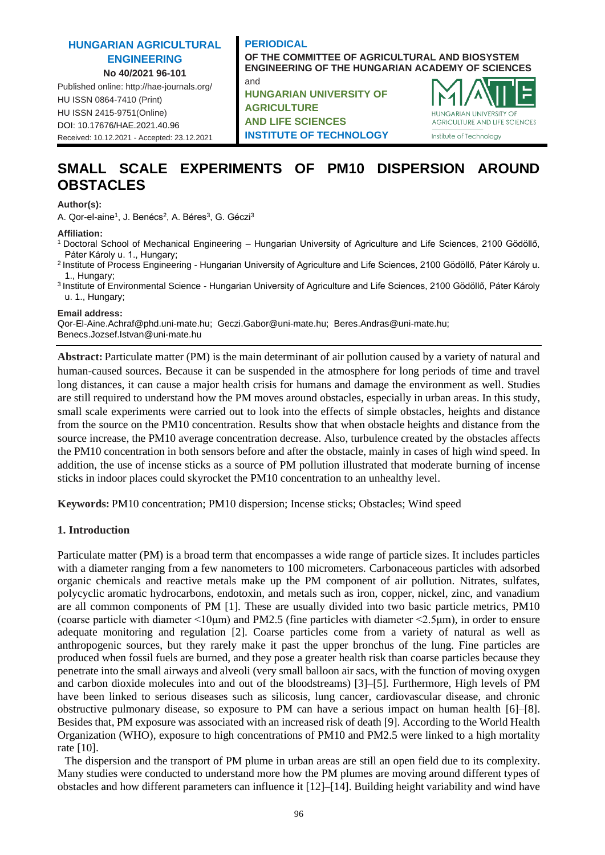## **HUNGARIAN AGRICULTURAL ENGINEERING No 40/2021 96-101**

Published online: http://hae-journals.org/ HU ISSN 0864-7410 (Print) HU ISSN 2415-9751(Online) [DOI: 10.17676/HAE.2021.40.96](https://doi.org/10.17676/HAE.2021.40.96) Received: 10.12.2021 - Accepted: 23.12.2021

#### **PERIODICAL OF THE COMMITTEE OF AGRICULTURAL AND BIOSYSTEM ENGINEERING OF THE HUNGARIAN ACADEMY OF SCIENCES** and

**HUNGARIAN UNIVERSITY OF AGRICULTURE AND LIFE SCIENCES INSTITUTE OF TECHNOLOGY**



# **SMALL SCALE EXPERIMENTS OF PM10 DISPERSION AROUND OBSTACLES**

#### **Author(s):**

A. Qor-el-aine<sup>1</sup>, J. Benécs<sup>2</sup>, A. Béres<sup>3</sup>, G. Géczi<sup>3</sup>

#### **Affiliation:**

- <sup>1</sup>Doctoral School of Mechanical Engineering Hungarian University of Agriculture and Life Sciences, 2100 Gödöllő, Páter Károly u. 1., Hungary;
- <sup>2</sup>Institute of Process Engineering Hungarian University of Agriculture and Life Sciences, 2100 Gödöllő, Páter Károly u. 1., Hungary;
- 3 Institute of Environmental Science Hungarian University of Agriculture and Life Sciences, 2100 Gödöllő, Páter Károly u. 1., Hungary;

#### **Email address:**

Qor-El-Aine.Achraf@phd.uni-mate.hu; Geczi.Gabor@uni-mate.hu; Beres.Andras@uni-mate.hu; Benecs.Jozsef.Istvan@uni-mate.hu

Abstract: Particulate matter (PM) is the main determinant of air pollution caused by a variety of natural and human-caused sources. Because it can be suspended in the atmosphere for long periods of time and travel long distances, it can cause a major health crisis for humans and damage the environment as well. Studies are still required to understand how the PM moves around obstacles, especially in urban areas. In this study, small scale experiments were carried out to look into the effects of simple obstacles, heights and distance from the source on the PM10 concentration. Results show that when obstacle heights and distance from the source increase, the PM10 average concentration decrease. Also, turbulence created by the obstacles affects the PM10 concentration in both sensors before and after the obstacle, mainly in cases of high wind speed. In addition, the use of incense sticks as a source of PM pollution illustrated that moderate burning of incense sticks in indoor places could skyrocket the PM10 concentration to an unhealthy level.

**Keywords:** PM10 concentration; PM10 dispersion; Incense sticks; Obstacles; Wind speed

## **1. Introduction**

Particulate matter (PM) is a broad term that encompasses a wide range of particle sizes. It includes particles with a diameter ranging from a few nanometers to 100 micrometers. Carbonaceous particles with adsorbed organic chemicals and reactive metals make up the PM component of air pollution. Nitrates, sulfates, polycyclic aromatic hydrocarbons, endotoxin, and metals such as iron, copper, nickel, zinc, and vanadium are all common components of PM [1]. These are usually divided into two basic particle metrics, PM10 (coarse particle with diameter  $\leq 10 \mu m$ ) and PM2.5 (fine particles with diameter  $\leq 2.5 \mu m$ ), in order to ensure adequate monitoring and regulation [2]. Coarse particles come from a variety of natural as well as anthropogenic sources, but they rarely make it past the upper bronchus of the lung. Fine particles are produced when fossil fuels are burned, and they pose a greater health risk than coarse particles because they penetrate into the small airways and alveoli (very small balloon air sacs, with the function of moving oxygen and carbon dioxide molecules into and out of the bloodstreams) [3]–[5]. Furthermore, High levels of PM have been linked to serious diseases such as silicosis, lung cancer, cardiovascular disease, and chronic obstructive pulmonary disease, so exposure to PM can have a serious impact on human health [6]–[8]. Besides that, PM exposure was associated with an increased risk of death [9]. According to the World Health Organization (WHO), exposure to high concentrations of PM10 and PM2.5 were linked to a high mortality rate [10].

The dispersion and the transport of PM plume in urban areas are still an open field due to its complexity. Many studies were conducted to understand more how the PM plumes are moving around different types of obstacles and how different parameters can influence it [12]–[14]. Building height variability and wind have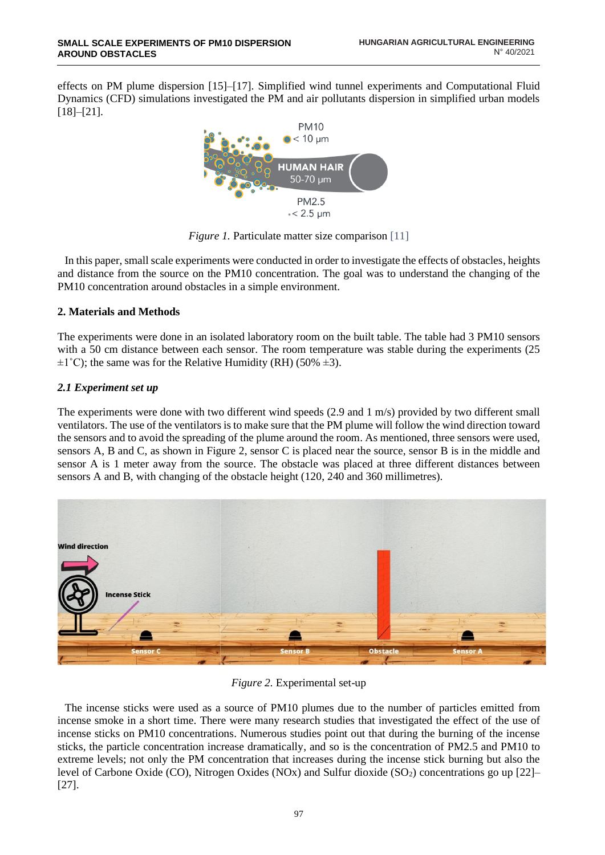effects on PM plume dispersion [15]–[17]. Simplified wind tunnel experiments and Computational Fluid Dynamics (CFD) simulations investigated the PM and air pollutants dispersion in simplified urban models [18]–[21].



*Figure 1.* Particulate matter size comparison [11]

In this paper, small scale experiments were conducted in order to investigate the effects of obstacles, heights and distance from the source on the PM10 concentration. The goal was to understand the changing of the PM10 concentration around obstacles in a simple environment.

## **2. Materials and Methods**

The experiments were done in an isolated laboratory room on the built table. The table had 3 PM10 sensors with a 50 cm distance between each sensor. The room temperature was stable during the experiments (25  $\pm 1^{\circ}$ C); the same was for the Relative Humidity (RH) (50%  $\pm 3$ ).

# *2.1 Experiment set up*

The experiments were done with two different wind speeds (2.9 and 1 m/s) provided by two different small ventilators. The use of the ventilators is to make sure that the PM plume will follow the wind direction toward the sensors and to avoid the spreading of the plume around the room. As mentioned, three sensors were used, sensors A, B and C, as shown in Figure 2, sensor C is placed near the source, sensor B is in the middle and sensor A is 1 meter away from the source. The obstacle was placed at three different distances between sensors A and B, with changing of the obstacle height (120, 240 and 360 millimetres).



*Figure 2.* Experimental set-up

The incense sticks were used as a source of PM10 plumes due to the number of particles emitted from incense smoke in a short time. There were many research studies that investigated the effect of the use of incense sticks on PM10 concentrations. Numerous studies point out that during the burning of the incense sticks, the particle concentration increase dramatically, and so is the concentration of PM2.5 and PM10 to extreme levels; not only the PM concentration that increases during the incense stick burning but also the level of Carbone Oxide (CO), Nitrogen Oxides (NOx) and Sulfur dioxide  $(SO<sub>2</sub>)$  concentrations go up [22]– [27].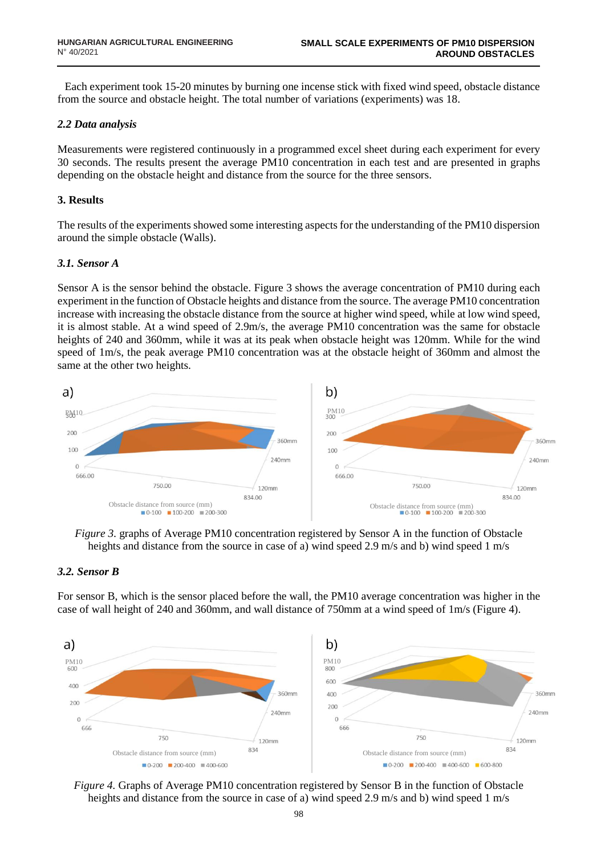Each experiment took 15-20 minutes by burning one incense stick with fixed wind speed, obstacle distance from the source and obstacle height. The total number of variations (experiments) was 18.

## *2.2 Data analysis*

Measurements were registered continuously in a programmed excel sheet during each experiment for every 30 seconds. The results present the average PM10 concentration in each test and are presented in graphs depending on the obstacle height and distance from the source for the three sensors.

## **3. Results**

The results of the experiments showed some interesting aspects for the understanding of the PM10 dispersion around the simple obstacle (Walls).

## *3.1. Sensor A*

Sensor A is the sensor behind the obstacle. Figure 3 shows the average concentration of PM10 during each experiment in the function of Obstacle heights and distance from the source. The average PM10 concentration increase with increasing the obstacle distance from the source at higher wind speed, while at low wind speed, it is almost stable. At a wind speed of 2.9m/s, the average PM10 concentration was the same for obstacle heights of 240 and 360mm, while it was at its peak when obstacle height was 120mm. While for the wind speed of 1m/s, the peak average PM10 concentration was at the obstacle height of 360mm and almost the same at the other two heights.



*Figure 3.* graphs of Average PM10 concentration registered by Sensor A in the function of Obstacle heights and distance from the source in case of a) wind speed 2.9 m/s and b) wind speed 1 m/s

## *3.2. Sensor B*

For sensor B, which is the sensor placed before the wall, the PM10 average concentration was higher in the case of wall height of 240 and 360mm, and wall distance of 750mm at a wind speed of 1m/s (Figure 4).



*Figure 4.* Graphs of Average PM10 concentration registered by Sensor B in the function of Obstacle heights and distance from the source in case of a) wind speed 2.9 m/s and b) wind speed 1 m/s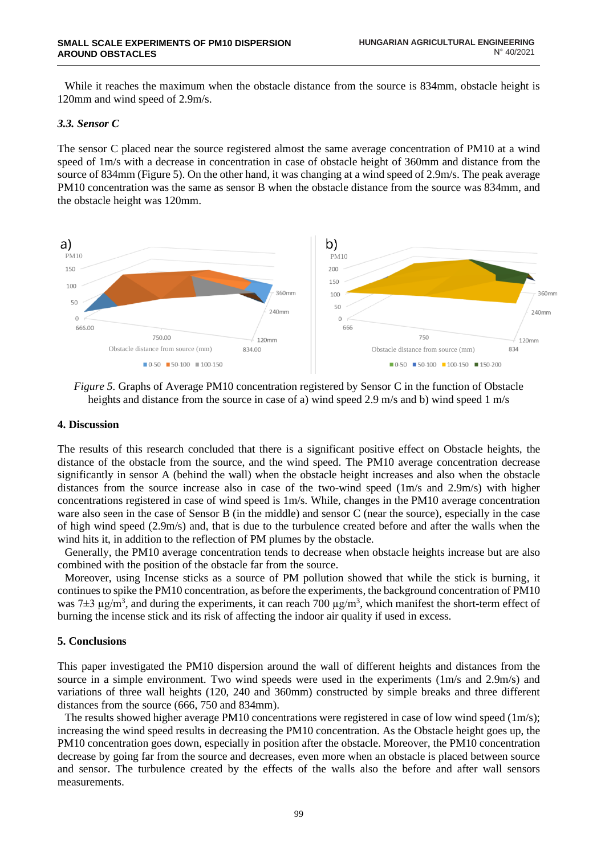While it reaches the maximum when the obstacle distance from the source is 834mm, obstacle height is 120mm and wind speed of 2.9m/s.

#### *3.3. Sensor C*

The sensor C placed near the source registered almost the same average concentration of PM10 at a wind speed of 1m/s with a decrease in concentration in case of obstacle height of 360mm and distance from the source of 834mm (Figure 5). On the other hand, it was changing at a wind speed of 2.9m/s. The peak average PM10 concentration was the same as sensor B when the obstacle distance from the source was 834mm, and the obstacle height was 120mm.



*Figure 5.* Graphs of Average PM10 concentration registered by Sensor C in the function of Obstacle heights and distance from the source in case of a) wind speed 2.9 m/s and b) wind speed 1 m/s

#### **4. Discussion**

The results of this research concluded that there is a significant positive effect on Obstacle heights, the distance of the obstacle from the source, and the wind speed. The PM10 average concentration decrease significantly in sensor A (behind the wall) when the obstacle height increases and also when the obstacle distances from the source increase also in case of the two-wind speed (1m/s and 2.9m/s) with higher concentrations registered in case of wind speed is 1m/s. While, changes in the PM10 average concentration ware also seen in the case of Sensor B (in the middle) and sensor C (near the source), especially in the case of high wind speed (2.9m/s) and, that is due to the turbulence created before and after the walls when the wind hits it, in addition to the reflection of PM plumes by the obstacle.

Generally, the PM10 average concentration tends to decrease when obstacle heights increase but are also combined with the position of the obstacle far from the source.

Moreover, using Incense sticks as a source of PM pollution showed that while the stick is burning, it continues to spike the PM10 concentration, as before the experiments, the background concentration of PM10 was  $7\pm3 \,\mu$ g/m<sup>3</sup>, and during the experiments, it can reach 700  $\mu$ g/m<sup>3</sup>, which manifest the short-term effect of burning the incense stick and its risk of affecting the indoor air quality if used in excess.

#### **5. Conclusions**

This paper investigated the PM10 dispersion around the wall of different heights and distances from the source in a simple environment. Two wind speeds were used in the experiments (1m/s and 2.9m/s) and variations of three wall heights (120, 240 and 360mm) constructed by simple breaks and three different distances from the source (666, 750 and 834mm).

The results showed higher average PM10 concentrations were registered in case of low wind speed (1m/s); increasing the wind speed results in decreasing the PM10 concentration. As the Obstacle height goes up, the PM10 concentration goes down, especially in position after the obstacle. Moreover, the PM10 concentration decrease by going far from the source and decreases, even more when an obstacle is placed between source and sensor. The turbulence created by the effects of the walls also the before and after wall sensors measurements.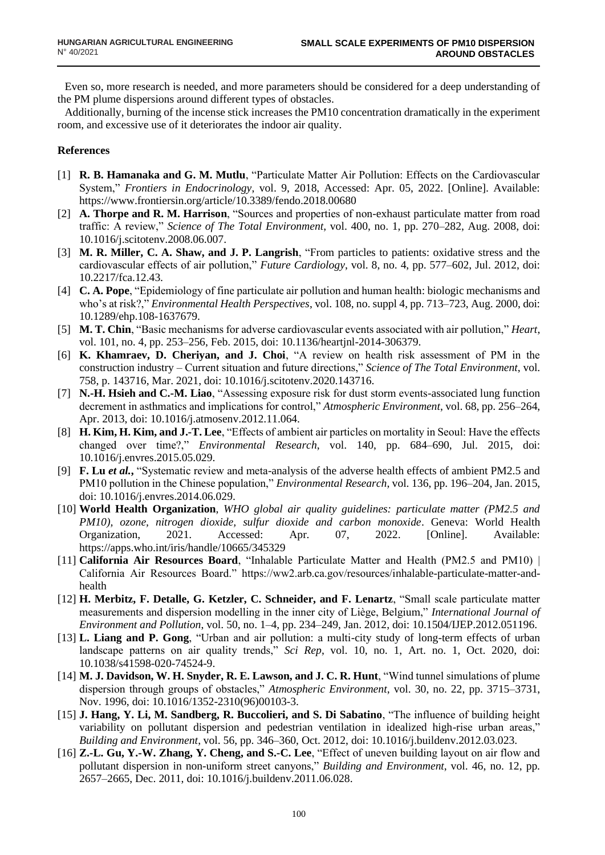Even so, more research is needed, and more parameters should be considered for a deep understanding of the PM plume dispersions around different types of obstacles.

Additionally, burning of the incense stick increases the PM10 concentration dramatically in the experiment room, and excessive use of it deteriorates the indoor air quality.

### **References**

- [1] **R. B. Hamanaka and G. M. Mutlu**, "Particulate Matter Air Pollution: Effects on the Cardiovascular System," *Frontiers in Endocrinology*, vol. 9, 2018, Accessed: Apr. 05, 2022. [Online]. Available: https://www.frontiersin.org/article/10.3389/fendo.2018.00680
- [2] **A. Thorpe and R. M. Harrison**, "Sources and properties of non-exhaust particulate matter from road traffic: A review," *Science of The Total Environment*, vol. 400, no. 1, pp. 270–282, Aug. 2008, doi: 10.1016/j.scitotenv.2008.06.007.
- [3] **M. R. Miller, C. A. Shaw, and J. P. Langrish**, "From particles to patients: oxidative stress and the cardiovascular effects of air pollution," *Future Cardiology*, vol. 8, no. 4, pp. 577–602, Jul. 2012, doi: 10.2217/fca.12.43.
- [4] **C. A. Pope**, "Epidemiology of fine particulate air pollution and human health: biologic mechanisms and who's at risk?," *Environmental Health Perspectives*, vol. 108, no. suppl 4, pp. 713–723, Aug. 2000, doi: 10.1289/ehp.108-1637679.
- [5] **M. T. Chin**, "Basic mechanisms for adverse cardiovascular events associated with air pollution," *Heart*, vol. 101, no. 4, pp. 253–256, Feb. 2015, doi: 10.1136/heartjnl-2014-306379.
- [6] **K. Khamraev, D. Cheriyan, and J. Choi**, "A review on health risk assessment of PM in the construction industry – Current situation and future directions," *Science of The Total Environment*, vol. 758, p. 143716, Mar. 2021, doi: 10.1016/j.scitotenv.2020.143716.
- [7] **N.-H. Hsieh and C.-M. Liao**, "Assessing exposure risk for dust storm events-associated lung function decrement in asthmatics and implications for control," *Atmospheric Environment*, vol. 68, pp. 256–264, Apr. 2013, doi: 10.1016/j.atmosenv.2012.11.064.
- [8] **H. Kim, H. Kim, and J.-T. Lee**, "Effects of ambient air particles on mortality in Seoul: Have the effects changed over time?," *Environmental Research*, vol. 140, pp. 684–690, Jul. 2015, doi: 10.1016/j.envres.2015.05.029.
- [9] **F. Lu** *et al.***,** "Systematic review and meta-analysis of the adverse health effects of ambient PM2.5 and PM10 pollution in the Chinese population," *Environmental Research*, vol. 136, pp. 196–204, Jan. 2015, doi: 10.1016/j.envres.2014.06.029.
- [10] **World Health Organization**, *WHO global air quality guidelines: particulate matter (PM2.5 and PM10), ozone, nitrogen dioxide, sulfur dioxide and carbon monoxide*. Geneva: World Health Organization, 2021. Accessed: Apr. 07, 2022. [Online]. Available: https://apps.who.int/iris/handle/10665/345329
- [11] **California Air Resources Board**, "Inhalable Particulate Matter and Health (PM2.5 and PM10) | California Air Resources Board." https://ww2.arb.ca.gov/resources/inhalable-particulate-matter-andhealth
- [12] **H. Merbitz, F. Detalle, G. Ketzler, C. Schneider, and F. Lenartz**, "Small scale particulate matter measurements and dispersion modelling in the inner city of Liège, Belgium," *International Journal of Environment and Pollution*, vol. 50, no. 1–4, pp. 234–249, Jan. 2012, doi: 10.1504/IJEP.2012.051196.
- [13] **L. Liang and P. Gong**, "Urban and air pollution: a multi-city study of long-term effects of urban landscape patterns on air quality trends," *Sci Rep*, vol. 10, no. 1, Art. no. 1, Oct. 2020, doi: 10.1038/s41598-020-74524-9.
- [14] **M. J. Davidson, W. H. Snyder, R. E. Lawson, and J. C. R. Hunt**, "Wind tunnel simulations of plume dispersion through groups of obstacles," *Atmospheric Environment*, vol. 30, no. 22, pp. 3715–3731, Nov. 1996, doi: 10.1016/1352-2310(96)00103-3.
- [15] **J. Hang, Y. Li, M. Sandberg, R. Buccolieri, and S. Di Sabatino**, "The influence of building height variability on pollutant dispersion and pedestrian ventilation in idealized high-rise urban areas," *Building and Environment*, vol. 56, pp. 346–360, Oct. 2012, doi: 10.1016/j.buildenv.2012.03.023.
- [16] **Z.-L. Gu, Y.-W. Zhang, Y. Cheng, and S.-C. Lee**, "Effect of uneven building layout on air flow and pollutant dispersion in non-uniform street canyons," *Building and Environment*, vol. 46, no. 12, pp. 2657–2665, Dec. 2011, doi: 10.1016/j.buildenv.2011.06.028.